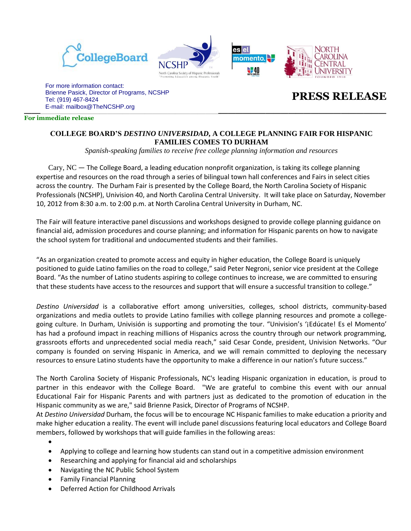





**\_\_\_\_\_\_\_\_\_\_\_\_\_\_\_\_\_\_\_\_\_\_\_\_\_\_\_\_\_\_\_\_\_\_\_\_\_\_\_\_\_\_\_\_\_\_\_\_** E-mail: mailbox@TheNCSHP.orgFor more information contact: Brienne Pasick, Director of Programs, NCSHP Tel: (919) 467-8424

# **PRESS RELEASE**

#### **For immediate release**

## **COLLEGE BOARD'S** *DESTINO UNIVERSIDAD***, A COLLEGE PLANNING FAIR FOR HISPANIC FAMILIES COMES TO DURHAM**

es el

**W**40

*Spanish-speaking families to receive free college planning information and resources* 

Cary,  $NC$  — The College Board, a leading education nonprofit organization, is taking its college planning expertise and resources on the road through a series of bilingual town hall conferences and Fairs in select cities across the country. The Durham Fair is presented by the College Board, the North Carolina Society of Hispanic Professionals (NCSHP), Univision 40, and North Carolina Central University.It will take place on Saturday, November 10, 2012 from 8:30 a.m. to 2:00 p.m. at North Carolina Central University in Durham, NC.

The Fair will feature interactive panel discussions and workshops designed to provide college planning guidance on financial aid, admission procedures and course planning; and information for Hispanic parents on how to navigate the school system for traditional and undocumented students and their families.

"As an organization created to promote access and equity in higher education, the College Board is uniquely positioned to guide Latino families on the road to college," said Peter Negroni, senior vice president at the College Board. "As the number of Latino students aspiring to college continues to increase, we are committed to ensuring that these students have access to the resources and support that will ensure a successful transition to college."

*Destino Universidad* is a collaborative effort among universities, colleges, school districts, community-based organizations and media outlets to provide Latino families with college planning resources and promote a collegegoing culture. In Durham, Univisión is supporting and promoting the tour. "Univision's '¡Edúcate! Es el Momento' has had a profound impact in reaching millions of Hispanics across the country through our network programming, grassroots efforts and unprecedented social media reach," said Cesar Conde, president, Univision Networks. "Our company is founded on serving Hispanic in America, and we will remain committed to deploying the necessary resources to ensure Latino students have the opportunity to make a difference in our nation's future success."

The North Carolina Society of Hispanic Professionals, NC's leading Hispanic organization in education, is proud to partner in this endeavor with the College Board. "We are grateful to combine this event with our annual Educational Fair for Hispanic Parents and with partners just as dedicated to the promotion of education in the Hispanic community as we are," said Brienne Pasick, Director of Programs of NCSHP.

At *Destino Universidad* Durham, the focus will be to encourage NC Hispanic families to make education a priority and make higher education a reality. The event will include panel discussions featuring local educators and College Board members, followed by workshops that will guide families in the following areas:

- $\bullet$
- Applying to college and learning how students can stand out in a competitive admission environment
- Researching and applying for financial aid and scholarships
- Navigating the NC Public School System
- Family Financial Planning
- Deferred Action for Childhood Arrivals